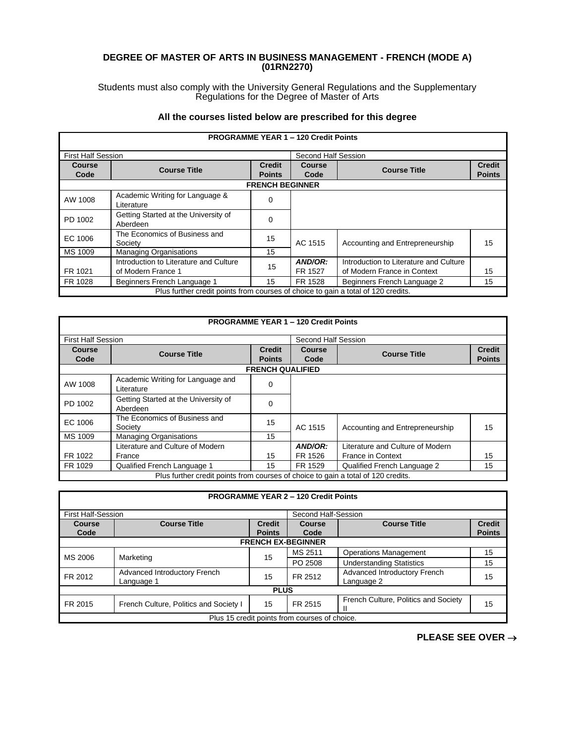## **DEGREE OF MASTER OF ARTS IN BUSINESS MANAGEMENT - FRENCH (MODE A) (01RN2270)**

Students must also comply with the University General Regulations and the Supplementary Regulations for the Degree of Master of Arts

## **All the courses listed below are prescribed for this degree**

|                           |                                                                                   |                                | <b>PROGRAMME YEAR 1 - 120 Credit Points</b> |                                                                       |                                |
|---------------------------|-----------------------------------------------------------------------------------|--------------------------------|---------------------------------------------|-----------------------------------------------------------------------|--------------------------------|
| <b>First Half Session</b> |                                                                                   |                                | Second Half Session                         |                                                                       |                                |
| <b>Course</b><br>Code     | <b>Course Title</b>                                                               | <b>Credit</b><br><b>Points</b> | Course<br>Code                              | <b>Course Title</b>                                                   | <b>Credit</b><br><b>Points</b> |
|                           |                                                                                   | <b>FRENCH BEGINNER</b>         |                                             |                                                                       |                                |
| AW 1008                   | Academic Writing for Language &<br>Literature                                     | 0                              |                                             |                                                                       |                                |
| PD 1002                   | Getting Started at the University of<br>Aberdeen                                  | 0                              |                                             |                                                                       |                                |
| EC 1006                   | The Economics of Business and<br>Society                                          | 15                             | AC 1515                                     | Accounting and Entrepreneurship                                       | 15                             |
| MS 1009                   | <b>Managing Organisations</b>                                                     | 15                             |                                             |                                                                       |                                |
| FR 1021                   | Introduction to Literature and Culture<br>of Modern France 1                      | 15                             | AND/OR:<br>FR 1527                          | Introduction to Literature and Culture<br>of Modern France in Context | 15                             |
| FR 1028                   | Beginners French Language 1                                                       | 15                             | FR 1528                                     | Beginners French Language 2                                           | 15                             |
|                           | Plus further credit points from courses of choice to gain a total of 120 credits. |                                |                                             |                                                                       |                                |

|                           |                                                                                   |                         | <b>PROGRAMME YEAR 1 - 120 Credit Points</b> |                                  |               |
|---------------------------|-----------------------------------------------------------------------------------|-------------------------|---------------------------------------------|----------------------------------|---------------|
| <b>First Half Session</b> |                                                                                   |                         | Second Half Session                         |                                  |               |
| Course                    | <b>Course Title</b>                                                               | <b>Credit</b>           | <b>Course</b>                               | <b>Course Title</b>              | <b>Credit</b> |
| Code                      |                                                                                   | <b>Points</b>           | Code                                        |                                  | <b>Points</b> |
|                           |                                                                                   | <b>FRENCH QUALIFIED</b> |                                             |                                  |               |
| AW 1008                   | Academic Writing for Language and<br>Literature                                   | 0                       |                                             |                                  |               |
| PD 1002                   | Getting Started at the University of<br>Aberdeen                                  | 0                       |                                             |                                  |               |
| EC 1006                   | The Economics of Business and<br>Society                                          | 15                      | AC 1515                                     | Accounting and Entrepreneurship  | 15            |
| MS 1009                   | <b>Managing Organisations</b>                                                     | 15                      |                                             |                                  |               |
|                           | Literature and Culture of Modern                                                  |                         | AND/OR:                                     | Literature and Culture of Modern |               |
| FR 1022                   | France                                                                            | 15                      | FR 1526                                     | <b>France in Context</b>         | 15            |
| FR 1029                   | Qualified French Language 1                                                       | 15                      | FR 1529                                     | Qualified French Language 2      | 15            |
|                           | Plus further credit points from courses of choice to gain a total of 120 credits. |                         |                                             |                                  |               |

|                           |                                            |                                | <b>PROGRAMME YEAR 2 - 120 Credit Points</b>   |                                            |                                |
|---------------------------|--------------------------------------------|--------------------------------|-----------------------------------------------|--------------------------------------------|--------------------------------|
| <b>First Half-Session</b> |                                            |                                | Second Half-Session                           |                                            |                                |
| Course<br>Code            | <b>Course Title</b>                        | <b>Credit</b><br><b>Points</b> | Course<br>Code                                | <b>Course Title</b>                        | <b>Credit</b><br><b>Points</b> |
|                           |                                            |                                | <b>FRENCH EX-BEGINNER</b>                     |                                            |                                |
| MS 2006                   | Marketing                                  | 15                             | MS 2511                                       | <b>Operations Management</b>               | 15                             |
|                           |                                            |                                | PO 2508                                       | <b>Understanding Statistics</b>            | 15                             |
| FR 2012                   | Advanced Introductory French<br>Language 1 | 15                             | FR 2512                                       | Advanced Introductory French<br>Language 2 | 15                             |
| <b>PLUS</b>               |                                            |                                |                                               |                                            |                                |
| FR 2015                   | French Culture, Politics and Society I     | 15                             | FR 2515                                       | French Culture, Politics and Society       | 15                             |
|                           |                                            |                                | Plus 15 credit points from courses of choice. |                                            |                                |

**PLEASE SEE OVER** →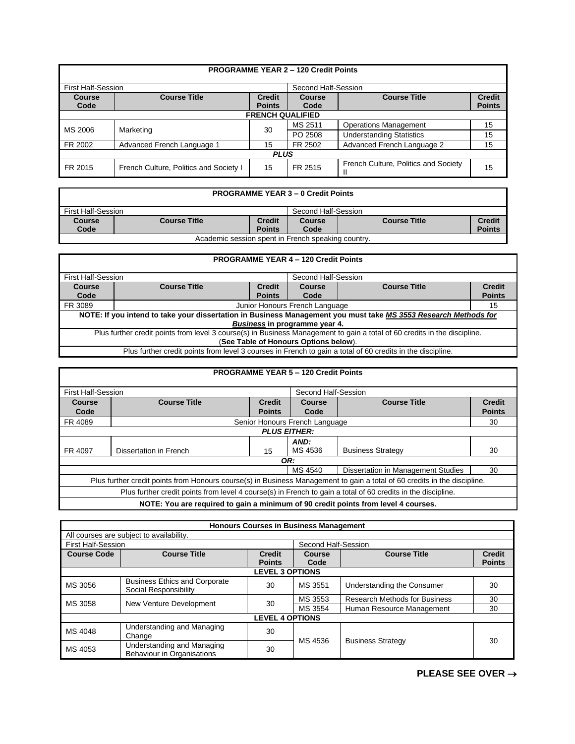|                           |                                        |                                | <b>PROGRAMME YEAR 2 - 120 Credit Points</b> |                                      |                                |  |
|---------------------------|----------------------------------------|--------------------------------|---------------------------------------------|--------------------------------------|--------------------------------|--|
| <b>First Half-Session</b> |                                        |                                | Second Half-Session                         |                                      |                                |  |
| Course<br>Code            | <b>Course Title</b>                    | <b>Credit</b><br><b>Points</b> | Course<br>Code                              | <b>Course Title</b>                  | <b>Credit</b><br><b>Points</b> |  |
|                           | <b>FRENCH QUALIFIED</b>                |                                |                                             |                                      |                                |  |
| MS 2006                   | Marketing                              | 30                             | MS 2511                                     | <b>Operations Management</b>         | 15                             |  |
|                           |                                        |                                | PO 2508                                     | <b>Understanding Statistics</b>      | 15                             |  |
| FR 2002                   | Advanced French Language 1             | 15                             | FR 2502                                     | Advanced French Language 2           | 15                             |  |
| <b>PLUS</b>               |                                        |                                |                                             |                                      |                                |  |
| FR 2015                   | French Culture, Politics and Society I | 15                             | FR 2515                                     | French Culture, Politics and Society | 15                             |  |

|                                                    |                     |                     | <b>PROGRAMME YEAR 3 - 0 Credit Points</b> |                     |               |
|----------------------------------------------------|---------------------|---------------------|-------------------------------------------|---------------------|---------------|
| First Half-Session                                 |                     | Second Half-Session |                                           |                     |               |
| Course                                             | <b>Course Title</b> | <b>Credit</b>       | <b>Course</b>                             | <b>Course Title</b> | <b>Credit</b> |
| Code                                               |                     | <b>Points</b>       | Code                                      |                     | <b>Points</b> |
| Academic session spent in French speaking country. |                     |                     |                                           |                     |               |

|                                                                                                                           | <b>PROGRAMME YEAR 4 - 120 Credit Points</b>                                                                     |               |                     |  |               |  |
|---------------------------------------------------------------------------------------------------------------------------|-----------------------------------------------------------------------------------------------------------------|---------------|---------------------|--|---------------|--|
| <b>First Half-Session</b>                                                                                                 |                                                                                                                 |               | Second Half-Session |  |               |  |
| Course                                                                                                                    | <b>Credit</b><br><b>Course Title</b><br><b>Course Title</b><br><b>Course</b>                                    |               |                     |  | <b>Credit</b> |  |
| Code                                                                                                                      |                                                                                                                 | <b>Points</b> | Code                |  | <b>Points</b> |  |
| FR 3089                                                                                                                   | Junior Honours French Language<br>15                                                                            |               |                     |  |               |  |
|                                                                                                                           | NOTE: If you intend to take your dissertation in Business Management you must take MS 3553 Research Methods for |               |                     |  |               |  |
|                                                                                                                           | Business in programme year 4.                                                                                   |               |                     |  |               |  |
| Plus further credit points from level 3 course(s) in Business Management to gain a total of 60 credits in the discipline. |                                                                                                                 |               |                     |  |               |  |
| (See Table of Honours Options below).                                                                                     |                                                                                                                 |               |                     |  |               |  |
|                                                                                                                           | Plus further credit points from level 3 courses in French to gain a total of 60 credits in the discipline.      |               |                     |  |               |  |

|                                                     |                                                                                                                           |               | <b>PROGRAMME YEAR 5 - 120 Credit Points</b> |                          |               |  |
|-----------------------------------------------------|---------------------------------------------------------------------------------------------------------------------------|---------------|---------------------------------------------|--------------------------|---------------|--|
| <b>First Half-Session</b>                           |                                                                                                                           |               | Second Half-Session                         |                          |               |  |
| <b>Course</b>                                       | <b>Course Title</b><br><b>Credit</b>                                                                                      |               | <b>Course</b>                               | <b>Course Title</b>      | <b>Credit</b> |  |
| Code                                                |                                                                                                                           | <b>Points</b> | Code                                        |                          | <b>Points</b> |  |
| FR 4089                                             | Senior Honours French Language                                                                                            |               |                                             |                          |               |  |
|                                                     |                                                                                                                           |               | <b>PLUS EITHER:</b>                         |                          |               |  |
|                                                     |                                                                                                                           |               | AND:                                        |                          |               |  |
| FR 4097                                             | Dissertation in French                                                                                                    | 15            | MS 4536                                     | <b>Business Strategy</b> | 30            |  |
|                                                     |                                                                                                                           |               | OR:                                         |                          |               |  |
| MS 4540<br>Dissertation in Management Studies<br>30 |                                                                                                                           |               |                                             |                          |               |  |
|                                                     | Plus further credit points from Honours course(s) in Business Management to gain a total of 60 credits in the discipline. |               |                                             |                          |               |  |
|                                                     | Plus further credit points from level 4 course(s) in French to gain a total of 60 credits in the discipline.              |               |                                             |                          |               |  |
|                                                     | NOTE: You are required to gain a minimum of 90 credit points from level 4 courses.                                        |               |                                             |                          |               |  |

|                           |                                                               |                                | <b>Honours Courses in Business Management</b> |                                      |                                |  |
|---------------------------|---------------------------------------------------------------|--------------------------------|-----------------------------------------------|--------------------------------------|--------------------------------|--|
|                           | All courses are subject to availability.                      |                                |                                               |                                      |                                |  |
| <b>First Half-Session</b> |                                                               |                                | Second Half-Session                           |                                      |                                |  |
| <b>Course Code</b>        | <b>Course Title</b>                                           | <b>Credit</b><br><b>Points</b> | Course<br>Code                                | <b>Course Title</b>                  | <b>Credit</b><br><b>Points</b> |  |
|                           | <b>LEVEL 3 OPTIONS</b>                                        |                                |                                               |                                      |                                |  |
| MS 3056                   | <b>Business Ethics and Corporate</b><br>Social Responsibility | 30                             | MS 3551                                       | Understanding the Consumer           | 30                             |  |
| MS 3058                   | New Venture Development                                       | 30                             | MS 3553                                       | <b>Research Methods for Business</b> | 30                             |  |
|                           |                                                               |                                | MS 3554                                       | Human Resource Management            | 30                             |  |
|                           | <b>LEVEL 4 OPTIONS</b>                                        |                                |                                               |                                      |                                |  |
| MS 4048                   | Understanding and Managing<br>Change                          | 30                             | MS 4536                                       |                                      |                                |  |
| MS 4053                   | Understanding and Managing<br>Behaviour in Organisations      | 30                             |                                               | <b>Business Strategy</b>             | 30                             |  |

**PLEASE SEE OVER** →